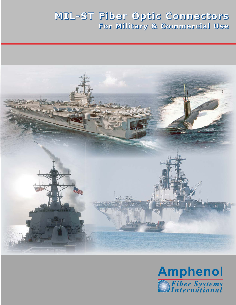# **MIL-ST Fiber Optic Connectors For Military & Commercial Use**



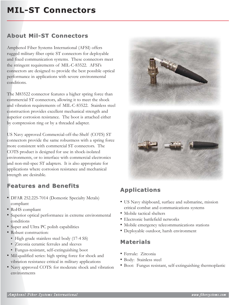# **MIL-ST Connectors MIL-ST Connectors**

## **About Mil-ST Connectors About Mil-ST Connectors**

Amphenol Fiber Systems International (AFSI) offers rugged military fiber optic ST connectors for deployable and fixed communication systems. These connectors meet the stringent requirements of MIL-C-83522. AFSI's connectors are designed to provide the best possible optical performance in applications with severe environmental conditions.

The M83522 connector features a higher spring force than commercial ST connectors, allowing it to meet the shock and vibration requirements of MIL-C-83522. Stainless steel construction provides excellent mechanical strength and superior corrosion resistance. The boot is attached either by compression ring or by a threaded adapter.

US Navy approved Commercial-off-the-Shelf (COTS) ST connectors provide the same robustness with a spring force more consistent with commercial ST connectors. The COTS product is designed for use in shock-isolated environments, or to interface with commercial electronics and non-mil-spec ST adapters. It is also appropriate for applications where corrosion resistance and mechanical strength are desirable.

## **Features and Benefits Features and Benefits**

- DFAR 252.225-7014 (Domestic Specialty Metals) compliant
- RoHS compliant
- Superior optical performance in extreme environmental conditions
- Super and Ultra PC polish capabilities
- Robust construction:
	- High grade stainless steel body (17-4 SS)
	- Zirconia ceramic ferrules and sleeves
	- Fungus-resistant, self-extinguishing boot
- Mil-qualified series: high spring force for shock and vibration resistance critical in military applications
- Navy approved COTS: for moderate shock and vibration environments



## **Applications Applications**

- US Navy shipboard, surface and submarine, mission critical combat and communications systems
- Mobile tactical shelters
- Electronic battlefield networks
- Mobile emergency telecommunications stations
- Deployable outdoor, harsh environment

### **Materials Materials**

- Ferrule: Zirconia
- Body: Stainless steel
- Boot: Fungus resistant, self-extinguishing thermoplastic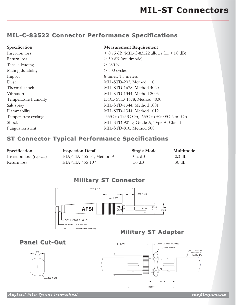# **MIL-C-83522 Connector Performance Specifications MIL-C-83522 Connector Performance Specifications**

| Specification        | <b>Measurement Requirement</b>                  |  |
|----------------------|-------------------------------------------------|--|
| Insertion loss       | $< 0.75$ dB (MIL-C-83522 allows for $< 1.0$ dB) |  |
| Return loss          | $>$ 30 dB (multimode)                           |  |
| Tensile loading      | $>$ 230 N                                       |  |
| Mating durability    | $> 500$ cycles                                  |  |
| Impact               | 8 times, 1.5 meters                             |  |
| Dust                 | MIL-STD-202, Method 110                         |  |
| Thermal shock        | MIL-STD-1678, Method 4020                       |  |
| Vibration            | MIL-STD-1344, Method 2005                       |  |
| Temperature humidity | DOD-STD-1678, Method 4030                       |  |
| Salt spray           | MIL-STD-1344, Method 1001                       |  |
| Flammability         | MIL-STD-1344, Method 1012                       |  |
| Temperature cycling  | -55°C to 125°C Op, -65°C to +200°C Non-Op       |  |
| Shock                | MIL-STD-901D, Grade A, Type A, Class I          |  |
| Fungus resistant     | MIL-STD-810, Method 508                         |  |

#### **ST Connector Typical Performance Specifications ST Connector Typical Performance Specifications**

| Specification            | <b>Inspection Detail</b>    | <b>Single Mode</b> | Multimode |
|--------------------------|-----------------------------|--------------------|-----------|
| Insertion loss (typical) | $EIA/TIA$ -455-34, Method A | $-0.2$ dB          | $-0.3$ dB |
| Return loss              | $EIA/TIA-455-107$           | $-50$ dB           | $-30$ dB  |